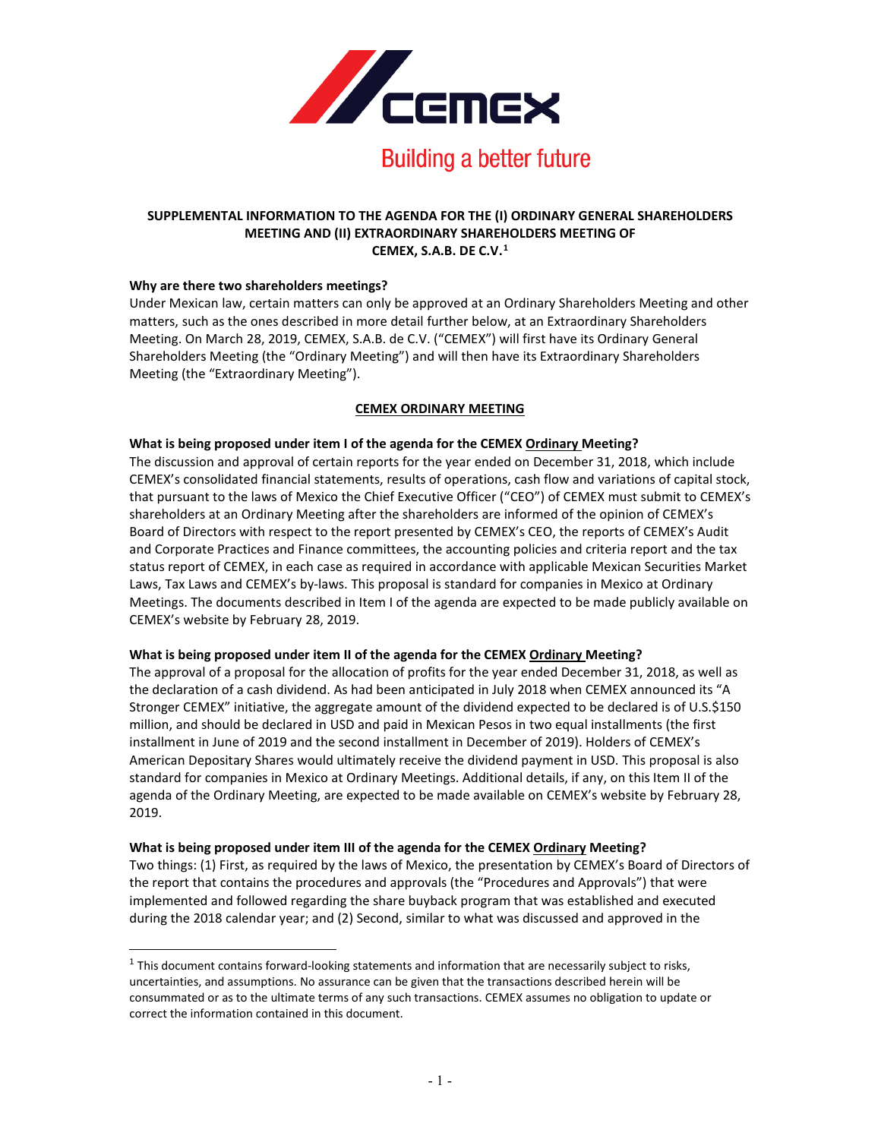

#### **SUPPLEMENTAL INFORMATION TO THE AGENDA FOR THE (I) ORDINARY GENERAL SHAREHOLDERS MEETING AND (II) EXTRAORDINARY SHAREHOLDERS MEETING OF CEMEX, S.A.B. DE C.V.[1](#page-0-0)**

#### **Why are there two shareholders meetings?**

 $\overline{a}$ 

Under Mexican law, certain matters can only be approved at an Ordinary Shareholders Meeting and other matters, such as the ones described in more detail further below, at an Extraordinary Shareholders Meeting. On March 28, 2019, CEMEX, S.A.B. de C.V. ("CEMEX") will first have its Ordinary General Shareholders Meeting (the "Ordinary Meeting") and will then have its Extraordinary Shareholders Meeting (the "Extraordinary Meeting").

## **CEMEX ORDINARY MEETING**

#### **What is being proposed under item I of the agenda for the CEMEX Ordinary Meeting?**

The discussion and approval of certain reports for the year ended on December 31, 2018, which include CEMEX's consolidated financial statements, results of operations, cash flow and variations of capital stock, that pursuant to the laws of Mexico the Chief Executive Officer ("CEO") of CEMEX must submit to CEMEX's shareholders at an Ordinary Meeting after the shareholders are informed of the opinion of CEMEX's Board of Directors with respect to the report presented by CEMEX's CEO, the reports of CEMEX's Audit and Corporate Practices and Finance committees, the accounting policies and criteria report and the tax status report of CEMEX, in each case as required in accordance with applicable Mexican Securities Market Laws, Tax Laws and CEMEX's by-laws. This proposal is standard for companies in Mexico at Ordinary Meetings. The documents described in Item I of the agenda are expected to be made publicly available on CEMEX's website by February 28, 2019.

#### **What is being proposed under item II of the agenda for the CEMEX Ordinary Meeting?**

The approval of a proposal for the allocation of profits for the year ended December 31, 2018, as well as the declaration of a cash dividend. As had been anticipated in July 2018 when CEMEX announced its "A Stronger CEMEX" initiative, the aggregate amount of the dividend expected to be declared is of U.S.\$150 million, and should be declared in USD and paid in Mexican Pesos in two equal installments (the first installment in June of 2019 and the second installment in December of 2019). Holders of CEMEX's American Depositary Shares would ultimately receive the dividend payment in USD. This proposal is also standard for companies in Mexico at Ordinary Meetings. Additional details, if any, on this Item II of the agenda of the Ordinary Meeting, are expected to be made available on CEMEX's website by February 28, 2019.

#### **What is being proposed under item III of the agenda for the CEMEX Ordinary Meeting?**

Two things: (1) First, as required by the laws of Mexico, the presentation by CEMEX's Board of Directors of the report that contains the procedures and approvals (the "Procedures and Approvals") that were implemented and followed regarding the share buyback program that was established and executed during the 2018 calendar year; and (2) Second, similar to what was discussed and approved in the

<span id="page-0-0"></span> $1$  This document contains forward-looking statements and information that are necessarily subject to risks, uncertainties, and assumptions. No assurance can be given that the transactions described herein will be consummated or as to the ultimate terms of any such transactions. CEMEX assumes no obligation to update or correct the information contained in this document.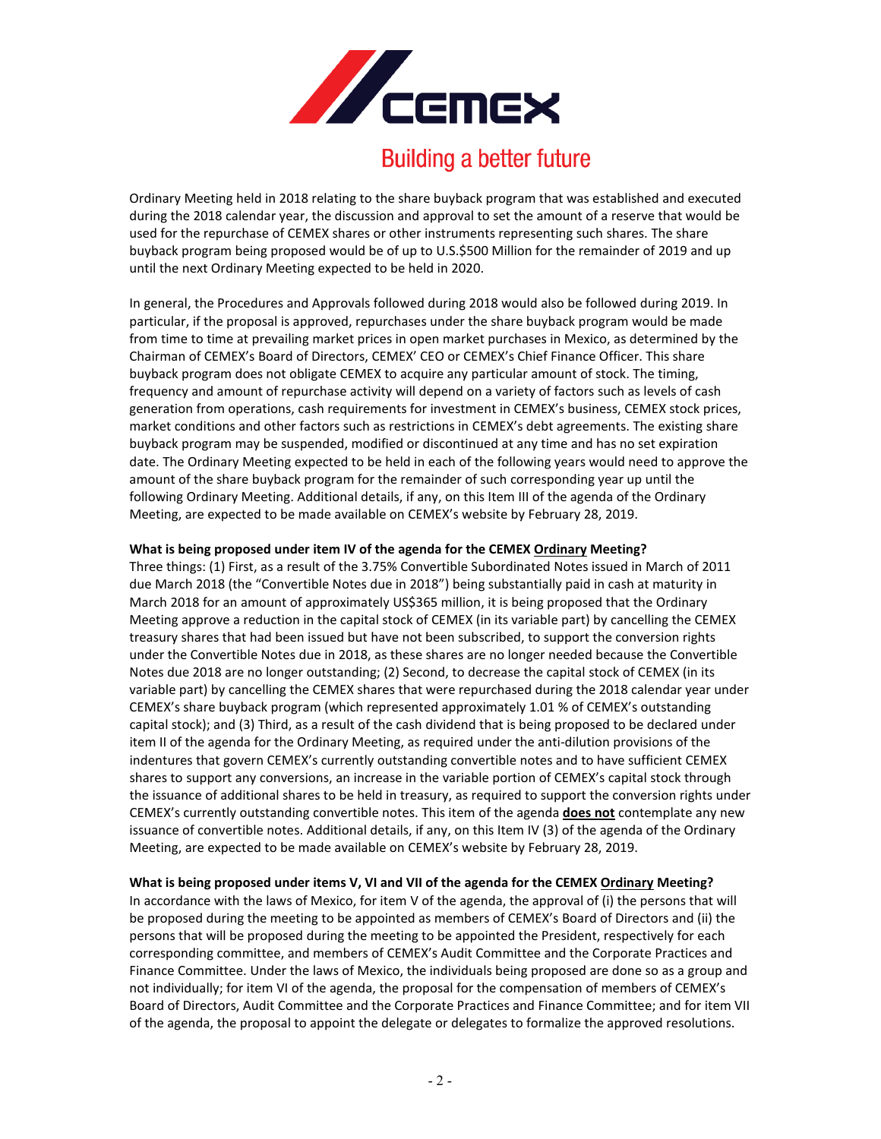

# **Building a better future**

Ordinary Meeting held in 2018 relating to the share buyback program that was established and executed during the 2018 calendar year, the discussion and approval to set the amount of a reserve that would be used for the repurchase of CEMEX shares or other instruments representing such shares. The share buyback program being proposed would be of up to U.S.\$500 Million for the remainder of 2019 and up until the next Ordinary Meeting expected to be held in 2020.

In general, the Procedures and Approvals followed during 2018 would also be followed during 2019. In particular, if the proposal is approved, repurchases under the share buyback program would be made from time to time at prevailing market prices in open market purchases in Mexico, as determined by the Chairman of CEMEX's Board of Directors, CEMEX' CEO or CEMEX's Chief Finance Officer. This share buyback program does not obligate CEMEX to acquire any particular amount of stock. The timing, frequency and amount of repurchase activity will depend on a variety of factors such as levels of cash generation from operations, cash requirements for investment in CEMEX's business, CEMEX stock prices, market conditions and other factors such as restrictions in CEMEX's debt agreements. The existing share buyback program may be suspended, modified or discontinued at any time and has no set expiration date. The Ordinary Meeting expected to be held in each of the following years would need to approve the amount of the share buyback program for the remainder of such corresponding year up until the following Ordinary Meeting. Additional details, if any, on this Item III of the agenda of the Ordinary Meeting, are expected to be made available on CEMEX's website by February 28, 2019.

## **What is being proposed under item IV of the agenda for the CEMEX Ordinary Meeting?**

Three things: (1) First, as a result of the 3.75% Convertible Subordinated Notes issued in March of 2011 due March 2018 (the "Convertible Notes due in 2018") being substantially paid in cash at maturity in March 2018 for an amount of approximately US\$365 million, it is being proposed that the Ordinary Meeting approve a reduction in the capital stock of CEMEX (in its variable part) by cancelling the CEMEX treasury shares that had been issued but have not been subscribed, to support the conversion rights under the Convertible Notes due in 2018, as these shares are no longer needed because the Convertible Notes due 2018 are no longer outstanding; (2) Second, to decrease the capital stock of CEMEX (in its variable part) by cancelling the CEMEX shares that were repurchased during the 2018 calendar year under CEMEX's share buyback program (which represented approximately 1.01 % of CEMEX's outstanding capital stock); and (3) Third, as a result of the cash dividend that is being proposed to be declared under item II of the agenda for the Ordinary Meeting, as required under the anti-dilution provisions of the indentures that govern CEMEX's currently outstanding convertible notes and to have sufficient CEMEX shares to support any conversions, an increase in the variable portion of CEMEX's capital stock through the issuance of additional shares to be held in treasury, as required to support the conversion rights under CEMEX's currently outstanding convertible notes. This item of the agenda **does not** contemplate any new issuance of convertible notes. Additional details, if any, on this Item IV (3) of the agenda of the Ordinary Meeting, are expected to be made available on CEMEX's website by February 28, 2019.

## **What is being proposed under items V, VI and VII of the agenda for the CEMEX Ordinary Meeting?**

In accordance with the laws of Mexico, for item V of the agenda, the approval of (i) the persons that will be proposed during the meeting to be appointed as members of CEMEX's Board of Directors and (ii) the persons that will be proposed during the meeting to be appointed the President, respectively for each corresponding committee, and members of CEMEX's Audit Committee and the Corporate Practices and Finance Committee. Under the laws of Mexico, the individuals being proposed are done so as a group and not individually; for item VI of the agenda, the proposal for the compensation of members of CEMEX's Board of Directors, Audit Committee and the Corporate Practices and Finance Committee; and for item VII of the agenda, the proposal to appoint the delegate or delegates to formalize the approved resolutions.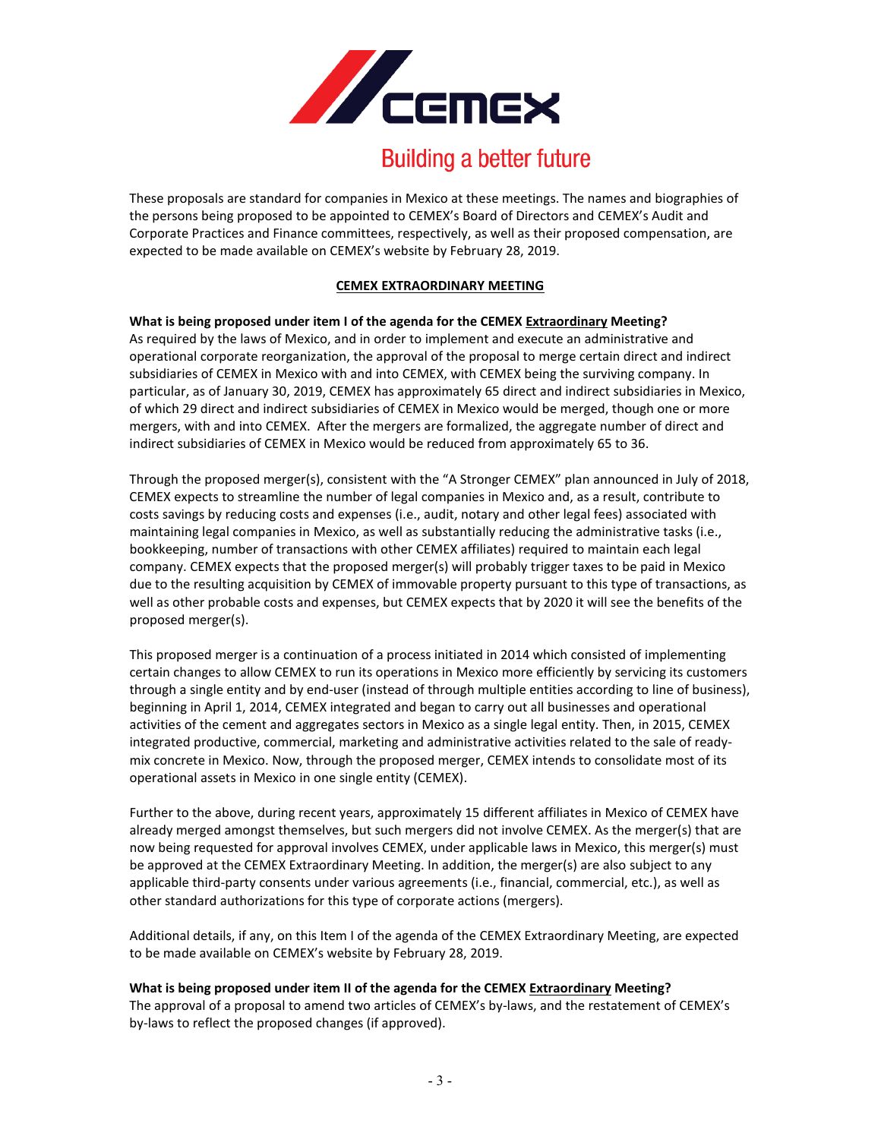

# **Building a better future**

These proposals are standard for companies in Mexico at these meetings. The names and biographies of the persons being proposed to be appointed to CEMEX's Board of Directors and CEMEX's Audit and Corporate Practices and Finance committees, respectively, as well as their proposed compensation, are expected to be made available on CEMEX's website by February 28, 2019.

# **CEMEX EXTRAORDINARY MEETING**

# **What is being proposed under item I of the agenda for the CEMEX Extraordinary Meeting?**

As required by the laws of Mexico, and in order to implement and execute an administrative and operational corporate reorganization, the approval of the proposal to merge certain direct and indirect subsidiaries of CEMEX in Mexico with and into CEMEX, with CEMEX being the surviving company. In particular, as of January 30, 2019, CEMEX has approximately 65 direct and indirect subsidiaries in Mexico, of which 29 direct and indirect subsidiaries of CEMEX in Mexico would be merged, though one or more mergers, with and into CEMEX. After the mergers are formalized, the aggregate number of direct and indirect subsidiaries of CEMEX in Mexico would be reduced from approximately 65 to 36.

Through the proposed merger(s), consistent with the "A Stronger CEMEX" plan announced in July of 2018, CEMEX expects to streamline the number of legal companies in Mexico and, as a result, contribute to costs savings by reducing costs and expenses (i.e., audit, notary and other legal fees) associated with maintaining legal companies in Mexico, as well as substantially reducing the administrative tasks (i.e., bookkeeping, number of transactions with other CEMEX affiliates) required to maintain each legal company. CEMEX expects that the proposed merger(s) will probably trigger taxes to be paid in Mexico due to the resulting acquisition by CEMEX of immovable property pursuant to this type of transactions, as well as other probable costs and expenses, but CEMEX expects that by 2020 it will see the benefits of the proposed merger(s).

This proposed merger is a continuation of a process initiated in 2014 which consisted of implementing certain changes to allow CEMEX to run its operations in Mexico more efficiently by servicing its customers through a single entity and by end-user (instead of through multiple entities according to line of business), beginning in April 1, 2014, CEMEX integrated and began to carry out all businesses and operational activities of the cement and aggregates sectors in Mexico as a single legal entity. Then, in 2015, CEMEX integrated productive, commercial, marketing and administrative activities related to the sale of readymix concrete in Mexico. Now, through the proposed merger, CEMEX intends to consolidate most of its operational assets in Mexico in one single entity (CEMEX).

Further to the above, during recent years, approximately 15 different affiliates in Mexico of CEMEX have already merged amongst themselves, but such mergers did not involve CEMEX. As the merger(s) that are now being requested for approval involves CEMEX, under applicable laws in Mexico, this merger(s) must be approved at the CEMEX Extraordinary Meeting. In addition, the merger(s) are also subject to any applicable third-party consents under various agreements (i.e., financial, commercial, etc.), as well as other standard authorizations for this type of corporate actions (mergers).

Additional details, if any, on this Item I of the agenda of the CEMEX Extraordinary Meeting, are expected to be made available on CEMEX's website by February 28, 2019.

## **What is being proposed under item II of the agenda for the CEMEX Extraordinary Meeting?**

The approval of a proposal to amend two articles of CEMEX's by-laws, and the restatement of CEMEX's by-laws to reflect the proposed changes (if approved).